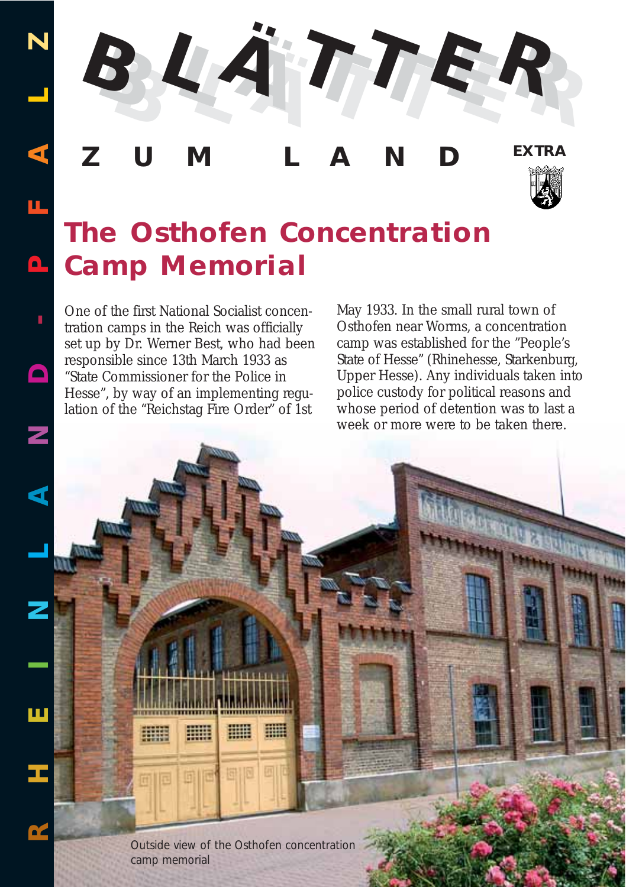**R**

**H**



# **ZUM LAND EXTRA**



# **The Osthofen Concentration Camp Memorial**

One of the first National Socialist concentration camps in the Reich was officially set up by Dr. Werner Best, who had been responsible since 13th March 1933 as "State Commissioner for the Police in Hesse", by way of an implementing regulation of the "Reichstag Fire Order" of 1st

May 1933. In the small rural town of Osthofen near Worms, a concentration camp was established for the "People's State of Hesse" (Rhinehesse, Starkenburg, Upper Hesse). Any individuals taken into police custody for political reasons and whose period of detention was to last a week or more were to be taken there.

*Outside view of the Osthofen concentration camp memorial* 

開開

珊瑚

EH

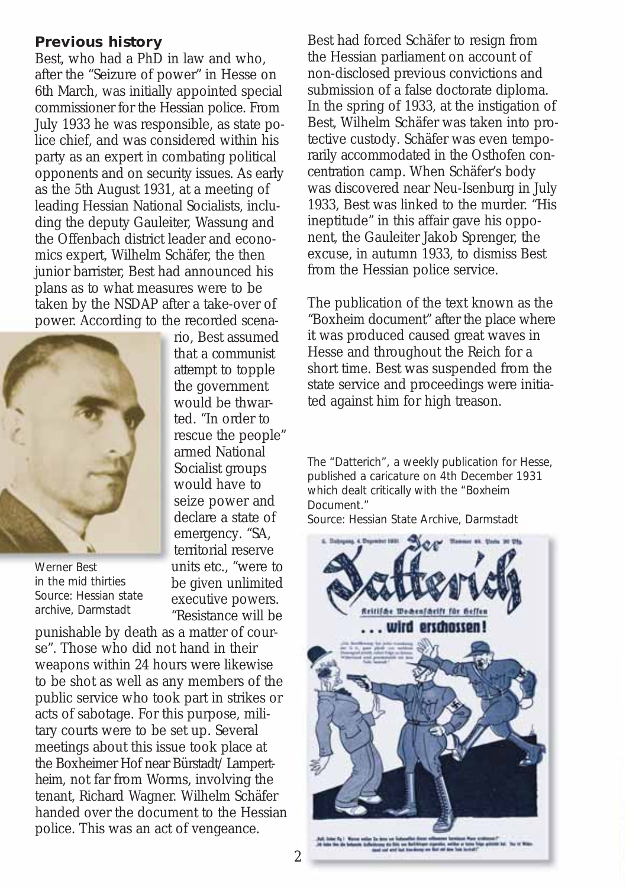#### **Previous history**

Best, who had a PhD in law and who, after the "Seizure of power" in Hesse on 6th March, was initially appointed special commissioner for the Hessian police. From July 1933 he was responsible, as state police chief, and was considered within his party as an expert in combating political opponents and on security issues. As early as the 5th August 1931, at a meeting of leading Hessian National Socialists, including the deputy Gauleiter, Wassung and the Offenbach district leader and economics expert, Wilhelm Schäfer, the then junior barrister, Best had announced his plans as to what measures were to be taken by the NSDAP after a take-over of power. According to the recorded scena-



*Werner Best in the mid thirties Source: Hessian state archive, Darmstadt*

rio, Best assumed that a communist attempt to topple the government would be thwarted. "In order to rescue the people" armed National Socialist groups would have to seize power and declare a state of emergency. "SA, territorial reserve units etc., "were to be given unlimited executive powers. "Resistance will be

punishable by death as a matter of course". Those who did not hand in their weapons within 24 hours were likewise to be shot as well as any members of the public service who took part in strikes or acts of sabotage. For this purpose, military courts were to be set up. Several meetings about this issue took place at the Boxheimer Hof near Bürstadt/ Lampertheim, not far from Worms, involving the tenant, Richard Wagner. Wilhelm Schäfer handed over the document to the Hessian police. This was an act of vengeance.

Best had forced Schäfer to resign from the Hessian parliament on account of non-disclosed previous convictions and submission of a false doctorate diploma. In the spring of 1933, at the instigation of Best, Wilhelm Schäfer was taken into protective custody. Schäfer was even temporarily accommodated in the Osthofen concentration camp. When Schäfer's body was discovered near Neu-Isenburg in July 1933, Best was linked to the murder. "His ineptitude" in this affair gave his opponent, the Gauleiter Jakob Sprenger, the excuse, in autumn 1933, to dismiss Best from the Hessian police service.

The publication of the text known as the "Boxheim document" after the place where it was produced caused great waves in Hesse and throughout the Reich for a short time. Best was suspended from the state service and proceedings were initiated against him for high treason.

*The "Datterich", a weekly publication for Hesse, published a caricature on 4th December 1931 which dealt critically with the "Boxheim Document." Source: Hessian State Archive, Darmstadt*

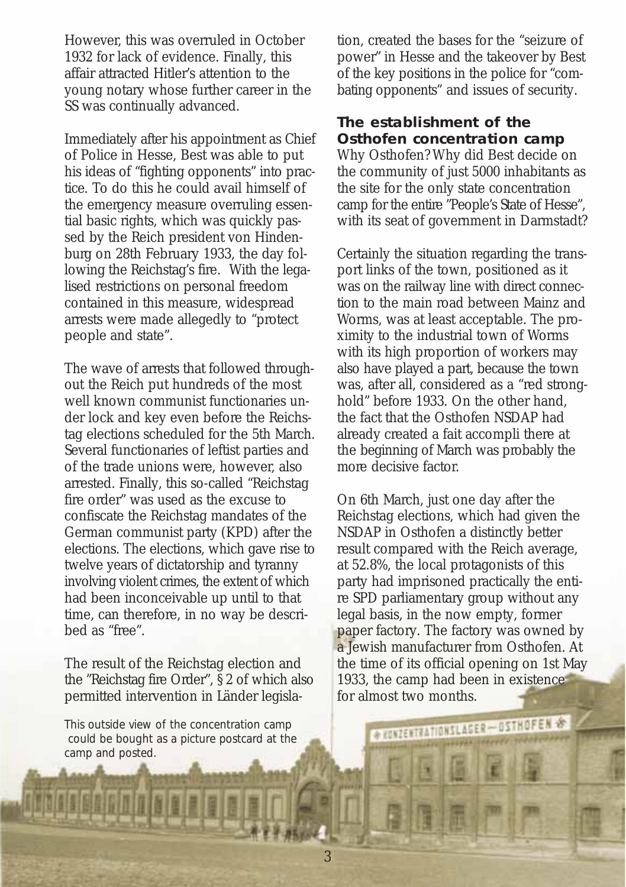However, this was overruled in October 1932 for lack of evidence. Finally, this affair attracted Hitler's attention to the young notary whose further career in the SS was continually advanced.

Immediately after his appointment as Chief of Police in Hesse, Best was able to put his ideas of "fighting opponents" into practice. To do this he could avail himself of the emergency measure overruling essential basic rights, which was quickly passed by the Reich president von Hindenburg on 28th February 1933, the day following the Reichstag's fire. With the legalised restrictions on personal freedom contained in this measure, widespread arrests were made allegedly to "protect people and state".

The wave of arrests that followed throughout the Reich put hundreds of the most well known communist functionaries under lock and key even before the Reichstag elections scheduled for the 5th March. Several functionaries of leftist parties and of the trade unions were, however, also arrested. Finally, this so-called "Reichstag fire order" was used as the excuse to confiscate the Reichstag mandates of the German communist party (KPD) after the elections. The elections, which gave rise to twelve years of dictatorship and tyranny involving violent crimes, the extent of which had been inconceivable up until to that time, can therefore, in no way be described as "free".

The result of the Reichstag election and the "Reichstag fire Order", § 2 of which also permitted intervention in Länder legisla-

*This outside view of the concentration camp could be bought as a picture postcard at the camp and posted.*

tion, created the bases for the "seizure of power" in Hesse and the takeover by Best of the key positions in the police for "combating opponents" and issues of security.

## **The establishment of the Osthofen concentration camp**

Why Osthofen? Why did Best decide on the community of just 5000 inhabitants as the site for the only state concentration camp for the entire "People's State of Hesse", with its seat of government in Darmstadt?

Certainly the situation regarding the transport links of the town, positioned as it was on the railway line with direct connection to the main road between Mainz and Worms, was at least acceptable. The proximity to the industrial town of Worms with its high proportion of workers may also have played a part, because the town was, after all, considered as a "red stronghold" before 1933. On the other hand, the fact that the Osthofen NSDAP had already created a fait accompli there at the beginning of March was probably the more decisive factor.

On 6th March, just one day after the Reichstag elections, which had given the NSDAP in Osthofen a distinctly better result compared with the Reich average, at 52.8%, the local protagonists of this party had imprisoned practically the entire SPD parliamentary group without any legal basis, in the now empty, former paper factory. The factory was owned by a Jewish manufacturer from Osthofen. At the time of its official opening on 1st May 1933, the camp had been in existence for almost two months.

**COMMUNISMER SHOFFIN**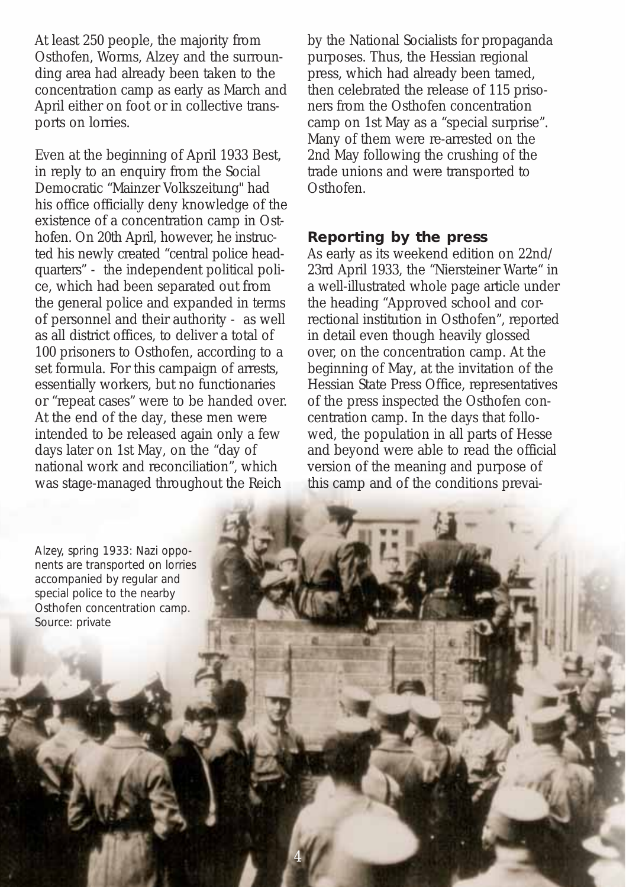At least 250 people, the majority from Osthofen, Worms, Alzey and the surrounding area had already been taken to the concentration camp as early as March and April either on foot or in collective transports on lorries.

Even at the beginning of April 1933 Best, in reply to an enquiry from the Social Democratic "Mainzer Volkszeitung" had his office officially deny knowledge of the existence of a concentration camp in Osthofen. On 20th April, however, he instructed his newly created "central police headquarters" - the independent political police, which had been separated out from the general police and expanded in terms of personnel and their authority - as well as all district offices, to deliver a total of 100 prisoners to Osthofen, according to a set formula. For this campaign of arrests, essentially workers, but no functionaries or "repeat cases" were to be handed over. At the end of the day, these men were intended to be released again only a few days later on 1st May, on the "day of national work and reconciliation", which was stage-managed throughout the Reich

by the National Socialists for propaganda purposes. Thus, the Hessian regional press, which had already been tamed, then celebrated the release of 115 prisoners from the Osthofen concentration camp on 1st May as a "special surprise". Many of them were re-arrested on the 2nd May following the crushing of the trade unions and were transported to Osthofen.

### **Reporting by the press**

4

As early as its weekend edition on 22nd/ 23rd April 1933, the "Niersteiner Warte" in a well-illustrated whole page article under the heading "Approved school and correctional institution in Osthofen", reported in detail even though heavily glossed over, on the concentration camp. At the beginning of May, at the invitation of the Hessian State Press Office, representatives of the press inspected the Osthofen concentration camp. In the days that followed, the population in all parts of Hesse and beyond were able to read the official version of the meaning and purpose of this camp and of the conditions prevai-

*Alzey, spring 1933: Nazi opponents are transported on lorries accompanied by regular and special police to the nearby Osthofen concentration camp. Source: private*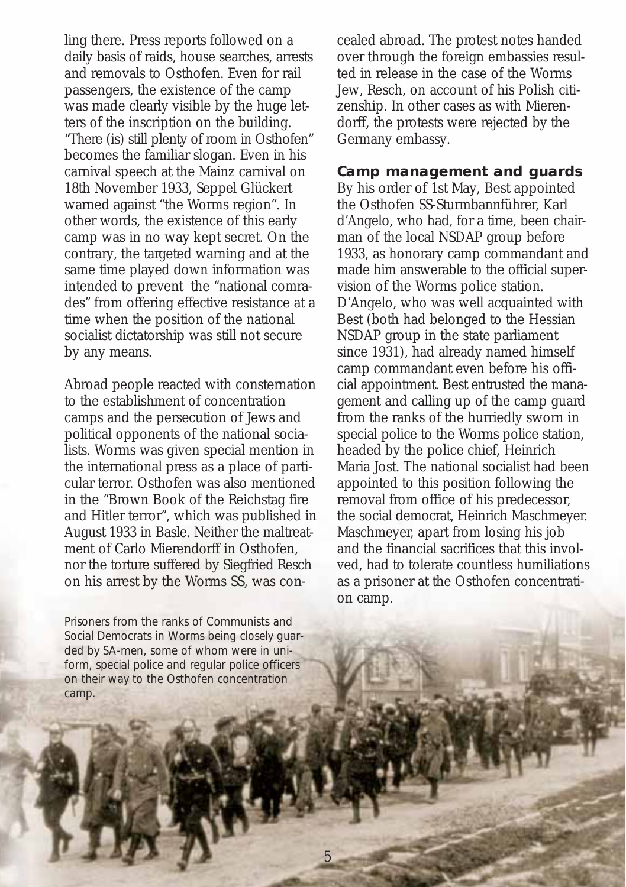ling there. Press reports followed on a daily basis of raids, house searches, arrests and removals to Osthofen. Even for rail passengers, the existence of the camp was made clearly visible by the huge letters of the inscription on the building. "There (is) still plenty of room in Osthofen" becomes the familiar slogan. Even in his carnival speech at the Mainz carnival on 18th November 1933, Seppel Glückert warned against "the Worms region". In other words, the existence of this early camp was in no way kept secret. On the contrary, the targeted warning and at the same time played down information was intended to prevent the "national comrades" from offering effective resistance at a time when the position of the national socialist dictatorship was still not secure by any means.

Abroad people reacted with consternation to the establishment of concentration camps and the persecution of Jews and political opponents of the national socialists. Worms was given special mention in the international press as a place of particular terror. Osthofen was also mentioned in the "Brown Book of the Reichstag fire and Hitler terror", which was published in August 1933 in Basle. Neither the maltreatment of Carlo Mierendorff in Osthofen, nor the torture suffered by Siegfried Resch on his arrest by the Worms SS, was con-

*Prisoners from the ranks of Communists and Social Democrats in Worms being closely guarded by SA-men, some of whom were in uniform, special police and regular police officers on their way to the Osthofen concentration camp.* 

cealed abroad. The protest notes handed over through the foreign embassies resulted in release in the case of the Worms Jew, Resch, on account of his Polish citizenship. In other cases as with Mierendorff, the protests were rejected by the Germany embassy.

# **Camp management and guards**

By his order of 1st May, Best appointed the Osthofen SS-Sturmbannführer, Karl d'Angelo, who had, for a time, been chairman of the local NSDAP group before 1933, as honorary camp commandant and made him answerable to the official supervision of the Worms police station. D'Angelo, who was well acquainted with Best (both had belonged to the Hessian NSDAP group in the state parliament since 1931), had already named himself camp commandant even before his official appointment. Best entrusted the management and calling up of the camp guard from the ranks of the hurriedly sworn in special police to the Worms police station, headed by the police chief, Heinrich Maria Jost. The national socialist had been appointed to this position following the removal from office of his predecessor, the social democrat, Heinrich Maschmeyer. Maschmeyer, apart from losing his job and the financial sacrifices that this involved, had to tolerate countless humiliations as a prisoner at the Osthofen concentration camp.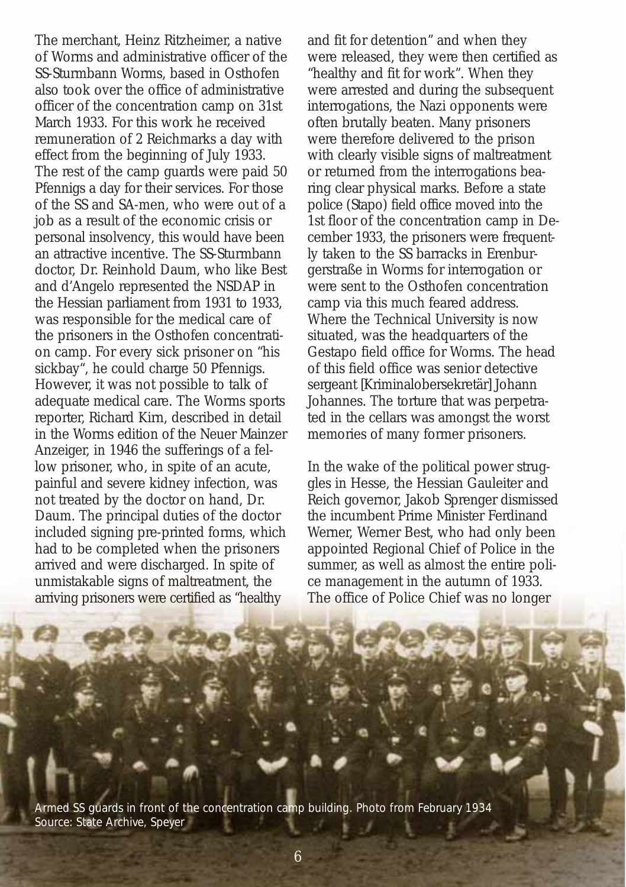The merchant, Heinz Ritzheimer, a native of Worms and administrative officer of the SS-Sturmbann Worms, based in Osthofen also took over the office of administrative officer of the concentration camp on 31st March 1933. For this work he received remuneration of 2 Reichmarks a day with effect from the beginning of July 1933. The rest of the camp guards were paid 50 Pfennigs a day for their services. For those of the SS and SA-men, who were out of a job as a result of the economic crisis or personal insolvency, this would have been an attractive incentive. The SS-Sturmbann doctor, Dr. Reinhold Daum, who like Best and d'Angelo represented the NSDAP in the Hessian parliament from 1931 to 1933, was responsible for the medical care of the prisoners in the Osthofen concentration camp. For every sick prisoner on "his sickbay", he could charge 50 Pfennigs. However, it was not possible to talk of adequate medical care. The Worms sports reporter, Richard Kirn, described in detail in the Worms edition of the Neuer Mainzer Anzeiger, in 1946 the sufferings of a fellow prisoner, who, in spite of an acute, painful and severe kidney infection, was not treated by the doctor on hand, Dr. Daum. The principal duties of the doctor included signing pre-printed forms, which had to be completed when the prisoners arrived and were discharged. In spite of unmistakable signs of maltreatment, the arriving prisoners were certified as "healthy

and fit for detention" and when they were released, they were then certified as "healthy and fit for work". When they were arrested and during the subsequent interrogations, the Nazi opponents were often brutally beaten. Many prisoners were therefore delivered to the prison with clearly visible signs of maltreatment or returned from the interrogations bearing clear physical marks. Before a state police (Stapo) field office moved into the 1st floor of the concentration camp in December 1933, the prisoners were frequently taken to the SS barracks in Erenburgerstraße in Worms for interrogation or were sent to the Osthofen concentration camp via this much feared address. Where the Technical University is now situated, was the headquarters of the Gestapo field office for Worms. The head of this field office was senior detective sergeant [Kriminalobersekretär] Johann Johannes. The torture that was perpetrated in the cellars was amongst the worst memories of many former prisoners.

In the wake of the political power struggles in Hesse, the Hessian Gauleiter and Reich governor, Jakob Sprenger dismissed the incumbent Prime Minister Ferdinand Werner, Werner Best, who had only been appointed Regional Chief of Police in the summer, as well as almost the entire police management in the autumn of 1933. The office of Police Chief was no longer

*Armed SS guards in front of the concentration camp building. Photo from February 1934 Source: State Archive, Speyer*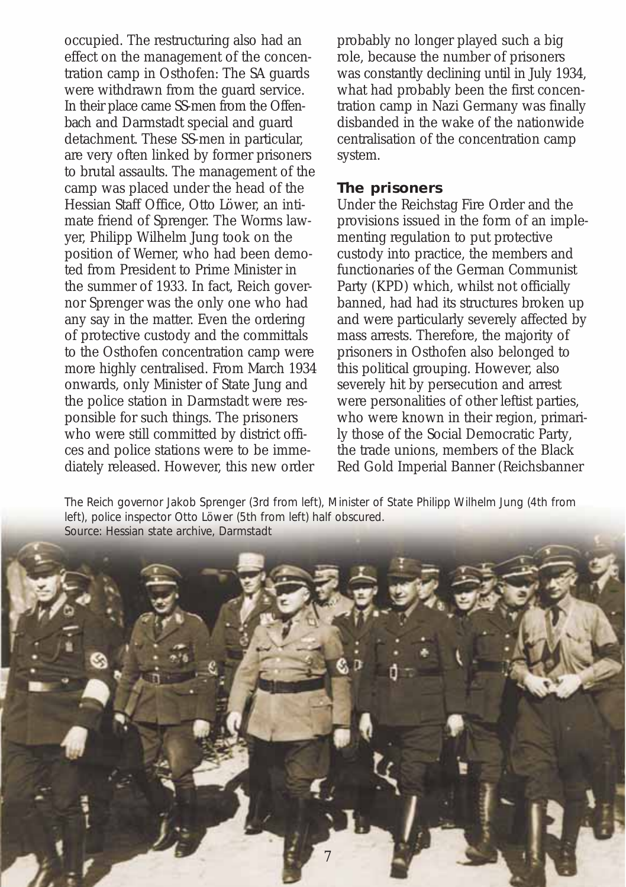occupied. The restructuring also had an effect on the management of the concentration camp in Osthofen: The SA guards were withdrawn from the guard service. In their place came SS-men from the Offenbach and Darmstadt special and guard detachment. These SS-men in particular, are very often linked by former prisoners to brutal assaults. The management of the camp was placed under the head of the Hessian Staff Office, Otto Löwer, an intimate friend of Sprenger. The Worms lawyer, Philipp Wilhelm Jung took on the position of Werner, who had been demoted from President to Prime Minister in the summer of 1933. In fact, Reich governor Sprenger was the only one who had any say in the matter. Even the ordering of protective custody and the committals to the Osthofen concentration camp were more highly centralised. From March 1934 onwards, only Minister of State Jung and the police station in Darmstadt were responsible for such things. The prisoners who were still committed by district offices and police stations were to be immediately released. However, this new order

probably no longer played such a big role, because the number of prisoners was constantly declining until in July 1934, what had probably been the first concentration camp in Nazi Germany was finally disbanded in the wake of the nationwide centralisation of the concentration camp system.

#### **The prisoners**

Under the Reichstag Fire Order and the provisions issued in the form of an implementing regulation to put protective custody into practice, the members and functionaries of the German Communist Party (KPD) which, whilst not officially banned, had had its structures broken up and were particularly severely affected by mass arrests. Therefore, the majority of prisoners in Osthofen also belonged to this political grouping. However, also severely hit by persecution and arrest were personalities of other leftist parties, who were known in their region, primarily those of the Social Democratic Party, the trade unions, members of the Black Red Gold Imperial Banner (Reichsbanner

*The Reich governor Jakob Sprenger (3rd from left), Minister of State Philipp Wilhelm Jung (4th from left), police inspector Otto Löwer (5th from left) half obscured. Source: Hessian state archive, Darmstadt*

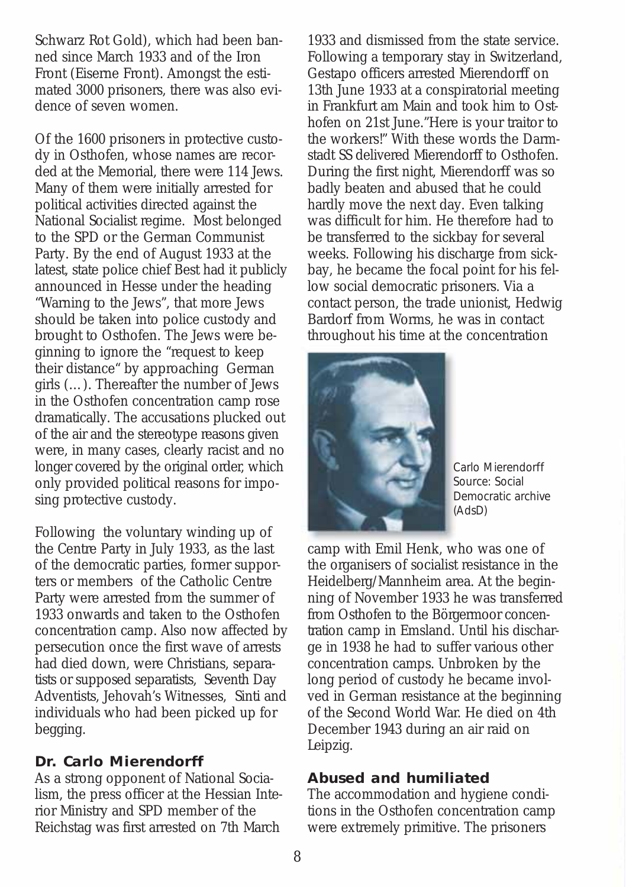Schwarz Rot Gold), which had been banned since March 1933 and of the Iron Front (Eiserne Front). Amongst the estimated 3000 prisoners, there was also evidence of seven women.

Of the 1600 prisoners in protective custody in Osthofen, whose names are recorded at the Memorial, there were 114 Jews. Many of them were initially arrested for political activities directed against the National Socialist regime. Most belonged to the SPD or the German Communist Party. By the end of August 1933 at the latest, state police chief Best had it publicly announced in Hesse under the heading "Warning to the Jews", that more Jews should be taken into police custody and brought to Osthofen. The Jews were beginning to ignore the "request to keep their distance" by approaching German girls (…). Thereafter the number of Jews in the Osthofen concentration camp rose dramatically. The accusations plucked out of the air and the stereotype reasons given were, in many cases, clearly racist and no longer covered by the original order, which only provided political reasons for imposing protective custody.

Following the voluntary winding up of the Centre Party in July 1933, as the last of the democratic parties, former supporters or members of the Catholic Centre Party were arrested from the summer of 1933 onwards and taken to the Osthofen concentration camp. Also now affected by persecution once the first wave of arrests had died down, were Christians, separatists or supposed separatists, Seventh Day Adventists, Jehovah's Witnesses, Sinti and individuals who had been picked up for begging.

# **Dr. Carlo Mierendorff**

As a strong opponent of National Socialism, the press officer at the Hessian Interior Ministry and SPD member of the Reichstag was first arrested on 7th March

1933 and dismissed from the state service. Following a temporary stay in Switzerland, Gestapo officers arrested Mierendorff on 13th June 1933 at a conspiratorial meeting in Frankfurt am Main and took him to Osthofen on 21st June."Here is your traitor to the workers!" With these words the Darmstadt SS delivered Mierendorff to Osthofen. During the first night, Mierendorff was so badly beaten and abused that he could hardly move the next day. Even talking was difficult for him. He therefore had to be transferred to the sickbay for several weeks. Following his discharge from sickbay, he became the focal point for his fellow social democratic prisoners. Via a contact person, the trade unionist, Hedwig Bardorf from Worms, he was in contact throughout his time at the concentration



*Carlo Mierendorff Source: Social Democratic archive (AdsD)*

camp with Emil Henk, who was one of the organisers of socialist resistance in the Heidelberg/Mannheim area. At the beginning of November 1933 he was transferred from Osthofen to the Börgermoor concentration camp in Emsland. Until his discharge in 1938 he had to suffer various other concentration camps. Unbroken by the long period of custody he became involved in German resistance at the beginning of the Second World War. He died on 4th December 1943 during an air raid on Leipzig.

#### **Abused and humiliated**

The accommodation and hygiene conditions in the Osthofen concentration camp were extremely primitive. The prisoners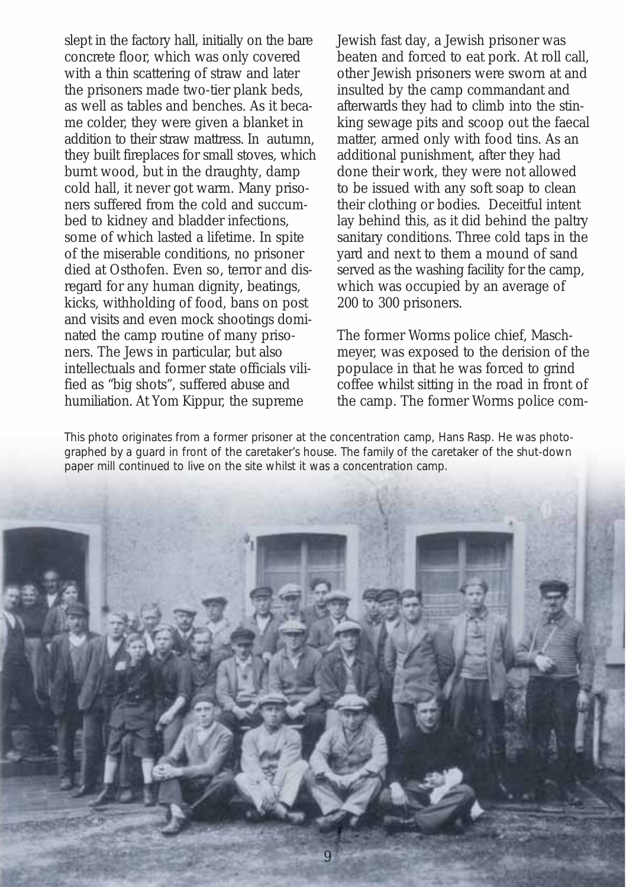slept in the factory hall, initially on the bare concrete floor, which was only covered with a thin scattering of straw and later the prisoners made two-tier plank beds, as well as tables and benches. As it became colder, they were given a blanket in addition to their straw mattress. In autumn, they built fireplaces for small stoves, which burnt wood, but in the draughty, damp cold hall, it never got warm. Many prisoners suffered from the cold and succumbed to kidney and bladder infections, some of which lasted a lifetime. In spite of the miserable conditions, no prisoner died at Osthofen. Even so, terror and disregard for any human dignity, beatings, kicks, withholding of food, bans on post and visits and even mock shootings dominated the camp routine of many prisoners. The Jews in particular, but also intellectuals and former state officials vilified as "big shots", suffered abuse and humiliation. At Yom Kippur, the supreme

Jewish fast day, a Jewish prisoner was beaten and forced to eat pork. At roll call, other Jewish prisoners were sworn at and insulted by the camp commandant and afterwards they had to climb into the stinking sewage pits and scoop out the faecal matter, armed only with food tins. As an additional punishment, after they had done their work, they were not allowed to be issued with any soft soap to clean their clothing or bodies. Deceitful intent lay behind this, as it did behind the paltry sanitary conditions. Three cold taps in the yard and next to them a mound of sand served as the washing facility for the camp, which was occupied by an average of 200 to 300 prisoners.

The former Worms police chief, Maschmeyer, was exposed to the derision of the populace in that he was forced to grind coffee whilst sitting in the road in front of the camp. The former Worms police com-

*This photo originates from a former prisoner at the concentration camp, Hans Rasp. He was photographed by a guard in front of the caretaker's house. The family of the caretaker of the shut-down paper mill continued to live on the site whilst it was a concentration camp.*

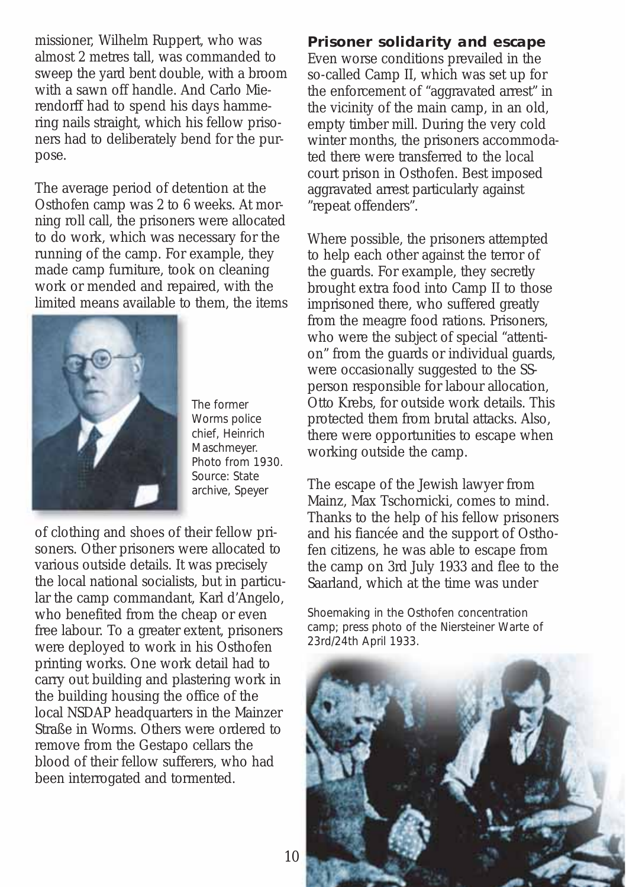missioner, Wilhelm Ruppert, who was almost 2 metres tall, was commanded to sweep the yard bent double, with a broom with a sawn off handle. And Carlo Mierendorff had to spend his days hammering nails straight, which his fellow prisoners had to deliberately bend for the purpose.

The average period of detention at the Osthofen camp was 2 to 6 weeks. At morning roll call, the prisoners were allocated to do work, which was necessary for the running of the camp. For example, they made camp furniture, took on cleaning work or mended and repaired, with the limited means available to them, the items



*The former Worms police chief, Heinrich Maschmeyer. Photo from 1930. Source: State archive, Speyer*

of clothing and shoes of their fellow prisoners. Other prisoners were allocated to various outside details. It was precisely the local national socialists, but in particular the camp commandant, Karl d'Angelo, who benefited from the cheap or even free labour. To a greater extent, prisoners were deployed to work in his Osthofen printing works. One work detail had to carry out building and plastering work in the building housing the office of the local NSDAP headquarters in the Mainzer Straße in Worms. Others were ordered to remove from the Gestapo cellars the blood of their fellow sufferers, who had been interrogated and tormented.

#### **Prisoner solidarity and escape**

Even worse conditions prevailed in the so-called Camp II, which was set up for the enforcement of "aggravated arrest" in the vicinity of the main camp, in an old, empty timber mill. During the very cold winter months, the prisoners accommodated there were transferred to the local court prison in Osthofen. Best imposed aggravated arrest particularly against "repeat offenders".

Where possible, the prisoners attempted to help each other against the terror of the guards. For example, they secretly brought extra food into Camp II to those imprisoned there, who suffered greatly from the meagre food rations. Prisoners, who were the subject of special "attention" from the guards or individual guards, were occasionally suggested to the SSperson responsible for labour allocation, Otto Krebs, for outside work details. This protected them from brutal attacks. Also, there were opportunities to escape when working outside the camp.

The escape of the Jewish lawyer from Mainz, Max Tschornicki, comes to mind. Thanks to the help of his fellow prisoners and his fiancée and the support of Osthofen citizens, he was able to escape from the camp on 3rd July 1933 and flee to the Saarland, which at the time was under

*Shoemaking in the Osthofen concentration camp; press photo of the Niersteiner Warte of 23rd/24th April 1933.* 

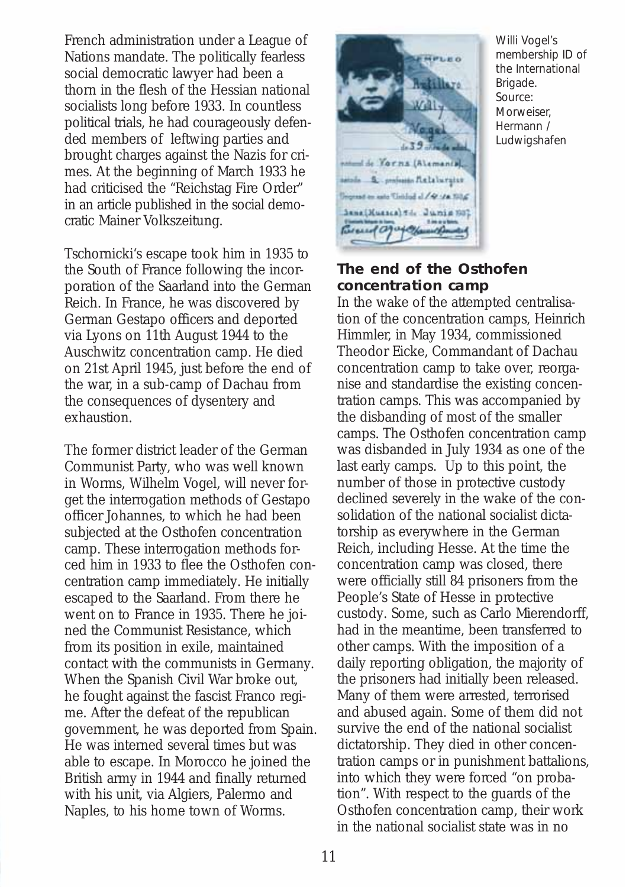French administration under a League of Nations mandate. The politically fearless social democratic lawyer had been a thorn in the flesh of the Hessian national socialists long before 1933. In countless political trials, he had courageously defended members of leftwing parties and brought charges against the Nazis for crimes. At the beginning of March 1933 he had criticised the "Reichstag Fire Order" in an article published in the social democratic Mainer Volkszeitung.

Tschornicki's escape took him in 1935 to the South of France following the incorporation of the Saarland into the German Reich. In France, he was discovered by German Gestapo officers and deported via Lyons on 11th August 1944 to the Auschwitz concentration camp. He died on 21st April 1945, just before the end of the war, in a sub-camp of Dachau from the consequences of dysentery and exhaustion.

The former district leader of the German Communist Party, who was well known in Worms, Wilhelm Vogel, will never forget the interrogation methods of Gestapo officer Johannes, to which he had been subjected at the Osthofen concentration camp. These interrogation methods forced him in 1933 to flee the Osthofen concentration camp immediately. He initially escaped to the Saarland. From there he went on to France in 1935. There he joined the Communist Resistance, which from its position in exile, maintained contact with the communists in Germany. When the Spanish Civil War broke out, he fought against the fascist Franco regime. After the defeat of the republican government, he was deported from Spain. He was interned several times but was able to escape. In Morocco he joined the British army in 1944 and finally returned with his unit, via Algiers, Palermo and Naples, to his home town of Worms.



*Willi Vogel's membership ID of the International Brigade. Source: Morweiser, Hermann / Ludwigshafen*

## **The end of the Osthofen concentration camp**

**BERTILING** 

In the wake of the attempted centralisation of the concentration camps, Heinrich Himmler, in May 1934, commissioned Theodor Eicke, Commandant of Dachau concentration camp to take over, reorganise and standardise the existing concentration camps. This was accompanied by the disbanding of most of the smaller camps. The Osthofen concentration camp was disbanded in July 1934 as one of the last early camps. Up to this point, the number of those in protective custody declined severely in the wake of the consolidation of the national socialist dictatorship as everywhere in the German Reich, including Hesse. At the time the concentration camp was closed, there were officially still 84 prisoners from the People's State of Hesse in protective custody. Some, such as Carlo Mierendorff, had in the meantime, been transferred to other camps. With the imposition of a daily reporting obligation, the majority of the prisoners had initially been released. Many of them were arrested, terrorised and abused again. Some of them did not survive the end of the national socialist dictatorship. They died in other concentration camps or in punishment battalions, into which they were forced "on probation". With respect to the guards of the Osthofen concentration camp, their work in the national socialist state was in no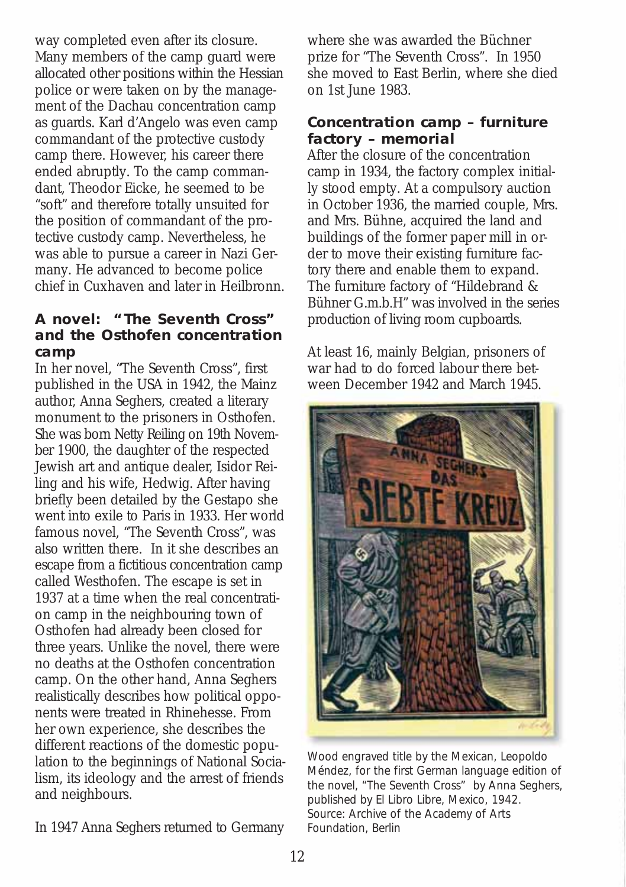way completed even after its closure. Many members of the camp guard were allocated other positions within the Hessian police or were taken on by the management of the Dachau concentration camp as guards. Karl d'Angelo was even camp commandant of the protective custody camp there. However, his career there ended abruptly. To the camp commandant, Theodor Eicke, he seemed to be "soft" and therefore totally unsuited for the position of commandant of the protective custody camp. Nevertheless, he was able to pursue a career in Nazi Germany. He advanced to become police chief in Cuxhaven and later in Heilbronn.

# **A novel: "The Seventh Cross" and the Osthofen concentration camp**

In her novel, "The Seventh Cross", first published in the USA in 1942, the Mainz author, Anna Seghers, created a literary monument to the prisoners in Osthofen. She was born Netty Reiling on 19th November 1900, the daughter of the respected Jewish art and antique dealer, Isidor Reiling and his wife, Hedwig. After having briefly been detailed by the Gestapo she went into exile to Paris in 1933. Her world famous novel, "The Seventh Cross", was also written there. In it she describes an escape from a fictitious concentration camp called Westhofen. The escape is set in 1937 at a time when the real concentration camp in the neighbouring town of Osthofen had already been closed for three years. Unlike the novel, there were no deaths at the Osthofen concentration camp. On the other hand, Anna Seghers realistically describes how political opponents were treated in Rhinehesse. From her own experience, she describes the different reactions of the domestic population to the beginnings of National Socialism, its ideology and the arrest of friends and neighbours.

In 1947 Anna Seghers returned to Germany

where she was awarded the Büchner prize for "The Seventh Cross". In 1950 she moved to East Berlin, where she died on 1st June 1983.

# **Concentration camp – furniture factory – memorial**

After the closure of the concentration camp in 1934, the factory complex initially stood empty. At a compulsory auction in October 1936, the married couple, Mrs. and Mrs. Bühne, acquired the land and buildings of the former paper mill in order to move their existing furniture factory there and enable them to expand. The furniture factory of "Hildebrand & Bühner G.m.b.H" was involved in the series production of living room cupboards.

At least 16, mainly Belgian, prisoners of war had to do forced labour there between December 1942 and March 1945.



*Wood engraved title by the Mexican, Leopoldo Méndez, for the first German language edition of the novel, "The Seventh Cross" by Anna Seghers, published by El Libro Libre, Mexico, 1942. Source: Archive of the Academy of Arts Foundation, Berlin*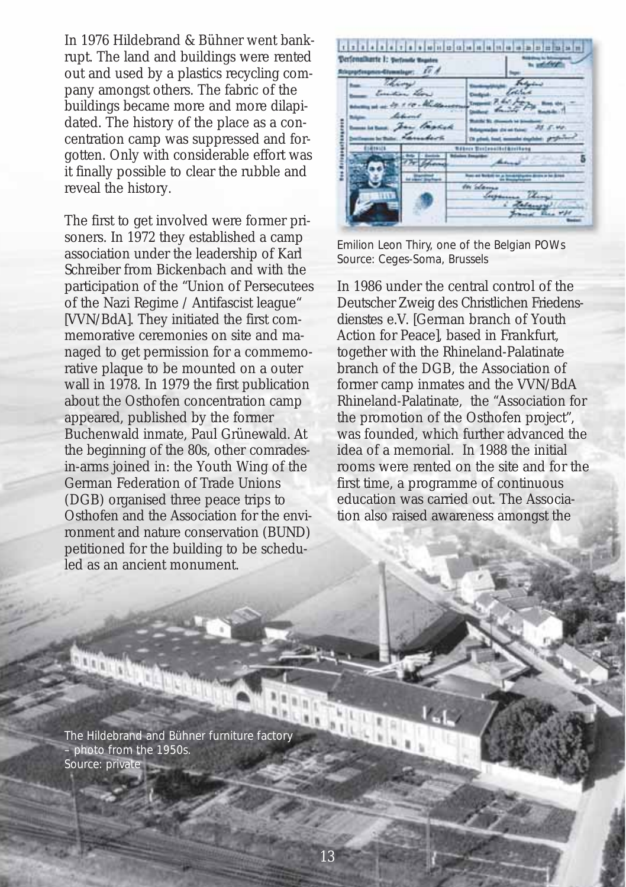In 1976 Hildebrand & Bühner went bankrupt. The land and buildings were rented out and used by a plastics recycling company amongst others. The fabric of the buildings became more and more dilapidated. The history of the place as a concentration camp was suppressed and forgotten. Only with considerable effort was it finally possible to clear the rubble and reveal the history.

The first to get involved were former prisoners. In 1972 they established a camp association under the leadership of Karl Schreiber from Bickenbach and with the participation of the "Union of Persecutees of the Nazi Regime / Antifascist league" [VVN/BdA]. They initiated the first commemorative ceremonies on site and managed to get permission for a commemorative plaque to be mounted on a outer wall in 1978. In 1979 the first publication about the Osthofen concentration camp appeared, published by the former Buchenwald inmate, Paul Grünewald. At the beginning of the 80s, other comradesin-arms joined in: the Youth Wing of the German Federation of Trade Unions (DGB) organised three peace trips to Osthofen and the Association for the environment and nature conservation (BUND) petitioned for the building to be scheduled as an ancient monument.

din ja lahat shi lahat ja ja ja ja ja ja ja ja ja ja ja ja ja **Confensionerte | 1 mars** tanens .

*Emilion Leon Thiry, one of the Belgian POWs Source: Ceges-Soma, Brussels*

In 1986 under the central control of the Deutscher Zweig des Christlichen Friedensdienstes e.V. [German branch of Youth Action for Peace], based in Frankfurt, together with the Rhineland-Palatinate branch of the DGB, the Association of former camp inmates and the VVN/BdA Rhineland-Palatinate, the "Association for the promotion of the Osthofen project", was founded, which further advanced the idea of a memorial. In 1988 the initial rooms were rented on the site and for the first time, a programme of continuous education was carried out. The Association also raised awareness amongst the

*The Hildebrand and Bühner furniture factory – photo from the 1950s. Source: private*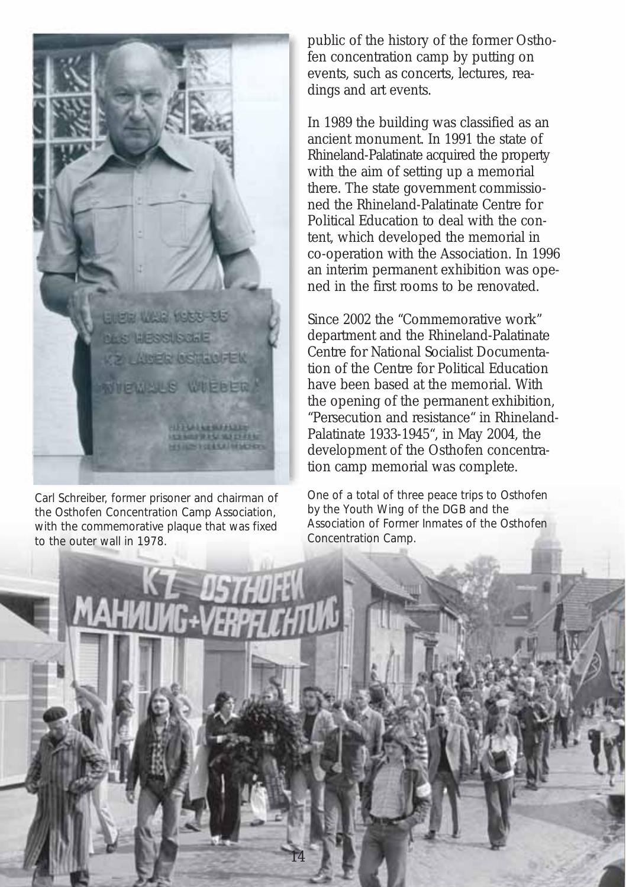

*Carl Schreiber, former prisoner and chairman of the Osthofen Concentration Camp Association, with the commemorative plaque that was fixed to the outer wall in 1978.*

public of the history of the former Osthofen concentration camp by putting on events, such as concerts, lectures, readings and art events.

In 1989 the building was classified as an ancient monument. In 1991 the state of Rhineland-Palatinate acquired the property with the aim of setting up a memorial there. The state government commissioned the Rhineland-Palatinate Centre for Political Education to deal with the content, which developed the memorial in co-operation with the Association. In 1996 an interim permanent exhibition was opened in the first rooms to be renovated.

Since 2002 the "Commemorative work" department and the Rhineland-Palatinate Centre for National Socialist Documentation of the Centre for Political Education have been based at the memorial. With the opening of the permanent exhibition, "Persecution and resistance" in Rhineland-Palatinate 1933-1945", in May 2004, the development of the Osthofen concentration camp memorial was complete.

*One of a total of three peace trips to Osthofen by the Youth Wing of the DGB and the Association of Former Inmates of the Osthofen Concentration Camp.* 

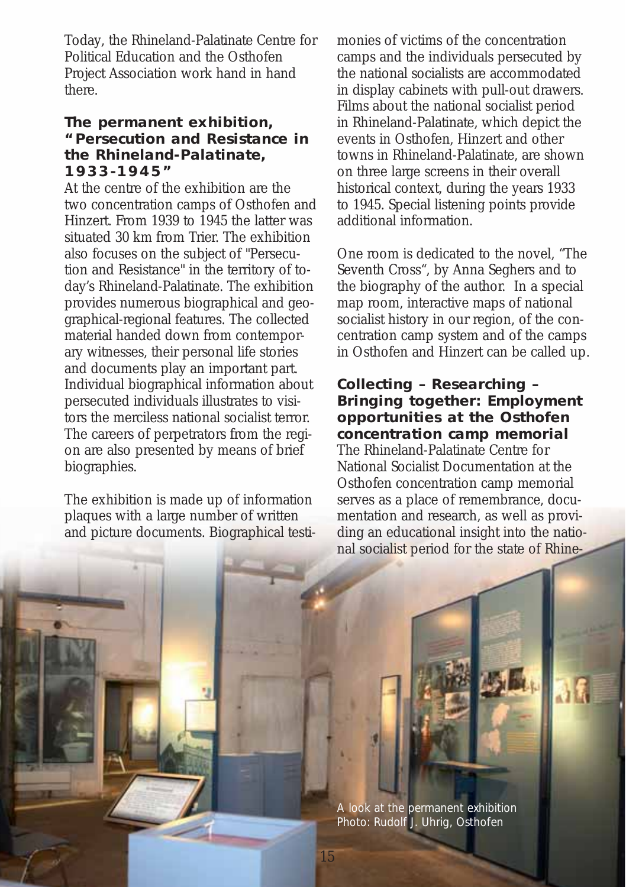Today, the Rhineland-Palatinate Centre for Political Education and the Osthofen Project Association work hand in hand there.

# **The permanent exhibition, "Persecution and Resistance in the Rhineland-Palatinate, 1933-1945"**

At the centre of the exhibition are the two concentration camps of Osthofen and Hinzert. From 1939 to 1945 the latter was situated 30 km from Trier. The exhibition also focuses on the subject of "Persecution and Resistance" in the territory of today's Rhineland-Palatinate. The exhibition provides numerous biographical and geographical-regional features. The collected material handed down from contemporary witnesses, their personal life stories and documents play an important part. Individual biographical information about persecuted individuals illustrates to visitors the merciless national socialist terror. The careers of perpetrators from the region are also presented by means of brief biographies.

The exhibition is made up of information plaques with a large number of written and picture documents. Biographical testimonies of victims of the concentration camps and the individuals persecuted by the national socialists are accommodated in display cabinets with pull-out drawers. Films about the national socialist period in Rhineland-Palatinate, which depict the events in Osthofen, Hinzert and other towns in Rhineland-Palatinate, are shown on three large screens in their overall historical context, during the years 1933 to 1945. Special listening points provide additional information.

One room is dedicated to the novel, "The Seventh Cross", by Anna Seghers and to the biography of the author. In a special map room, interactive maps of national socialist history in our region, of the concentration camp system and of the camps in Osthofen and Hinzert can be called up.

# **Collecting – Researching – Bringing together: Employment opportunities at the Osthofen concentration camp memorial**

The Rhineland-Palatinate Centre for National Socialist Documentation at the Osthofen concentration camp memorial serves as a place of remembrance, documentation and research, as well as providing an educational insight into the national socialist period for the state of Rhine-

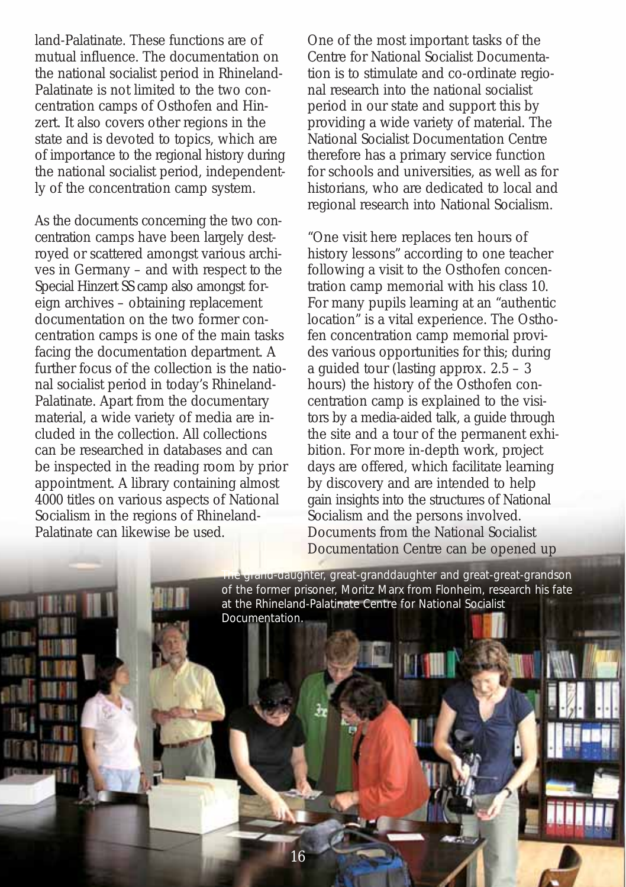land-Palatinate. These functions are of mutual influence. The documentation on the national socialist period in Rhineland-Palatinate is not limited to the two concentration camps of Osthofen and Hinzert. It also covers other regions in the state and is devoted to topics, which are of importance to the regional history during the national socialist period, independently of the concentration camp system.

As the documents concerning the two concentration camps have been largely destroyed or scattered amongst various archives in Germany – and with respect to the Special Hinzert SS camp also amongst foreign archives – obtaining replacement documentation on the two former concentration camps is one of the main tasks facing the documentation department. A further focus of the collection is the national socialist period in today's Rhineland-Palatinate. Apart from the documentary material, a wide variety of media are included in the collection. All collections can be researched in databases and can be inspected in the reading room by prior appointment. A library containing almost 4000 titles on various aspects of National Socialism in the regions of Rhineland-Palatinate can likewise be used.

One of the most important tasks of the Centre for National Socialist Documentation is to stimulate and co-ordinate regional research into the national socialist period in our state and support this by providing a wide variety of material. The National Socialist Documentation Centre therefore has a primary service function for schools and universities, as well as for historians, who are dedicated to local and regional research into National Socialism.

"One visit here replaces ten hours of history lessons" according to one teacher following a visit to the Osthofen concentration camp memorial with his class 10. For many pupils learning at an "authentic location" is a vital experience. The Osthofen concentration camp memorial provides various opportunities for this; during a guided tour (lasting approx. 2.5 – 3 hours) the history of the Osthofen concentration camp is explained to the visitors by a media-aided talk, a guide through the site and a tour of the permanent exhibition. For more in-depth work, project days are offered, which facilitate learning by discovery and are intended to help gain insights into the structures of National Socialism and the persons involved. Documents from the National Socialist Documentation Centre can be opened up

*The grand-daughter, great-granddaughter and great-great-grandson of the former prisoner, Moritz Marx from Flonheim, research his fate at the Rhineland-Palatinate Centre for National Socialist Documentation.*

16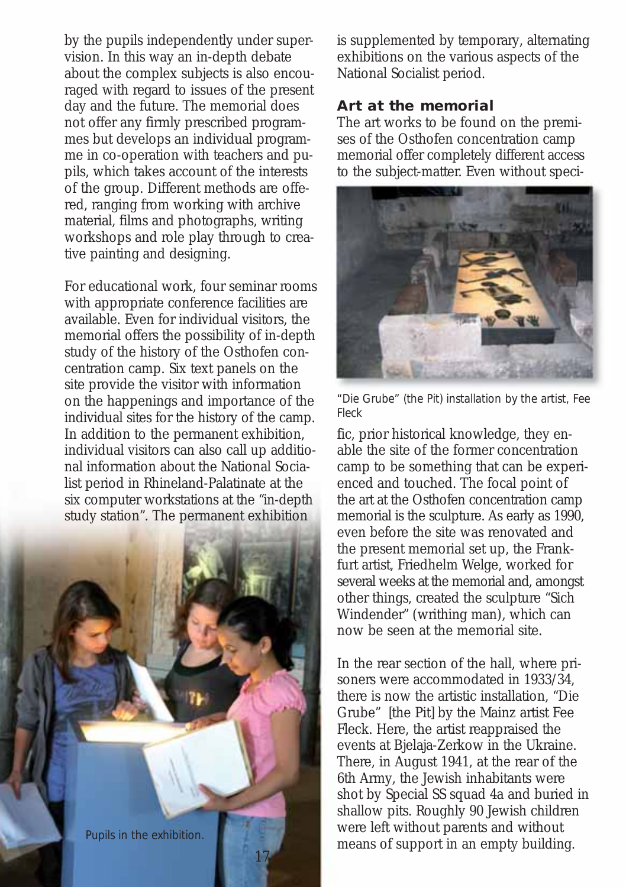by the pupils independently under supervision. In this way an in-depth debate about the complex subjects is also encouraged with regard to issues of the present day and the future. The memorial does not offer any firmly prescribed programmes but develops an individual programme in co-operation with teachers and pupils, which takes account of the interests of the group. Different methods are offered, ranging from working with archive material, films and photographs, writing workshops and role play through to creative painting and designing.

For educational work, four seminar rooms with appropriate conference facilities are available. Even for individual visitors, the memorial offers the possibility of in-depth study of the history of the Osthofen concentration camp. Six text panels on the site provide the visitor with information on the happenings and importance of the individual sites for the history of the camp. In addition to the permanent exhibition, individual visitors can also call up additional information about the National Socialist period in Rhineland-Palatinate at the six computer workstations at the "in-depth study station". The permanent exhibition



is supplemented by temporary, alternating exhibitions on the various aspects of the National Socialist period.

#### **Art at the memorial**

The art works to be found on the premises of the Osthofen concentration camp memorial offer completely different access to the subject-matter. Even without speci-



*"Die Grube" (the Pit) installation by the artist, Fee Fleck*

fic, prior historical knowledge, they enable the site of the former concentration camp to be something that can be experienced and touched. The focal point of the art at the Osthofen concentration camp memorial is the sculpture. As early as 1990, even before the site was renovated and the present memorial set up, the Frankfurt artist, Friedhelm Welge, worked for several weeks at the memorial and, amongst other things, created the sculpture "Sich Windender" (writhing man), which can now be seen at the memorial site.

In the rear section of the hall, where prisoners were accommodated in 1933/34, there is now the artistic installation, "Die Grube" [the Pit] by the Mainz artist Fee Fleck. Here, the artist reappraised the events at Bjelaja-Zerkow in the Ukraine. There, in August 1941, at the rear of the 6th Army, the Jewish inhabitants were shot by Special SS squad 4a and buried in shallow pits. Roughly 90 Jewish children were left without parents and without means of support in an empty building. *Pupils in the exhibition.*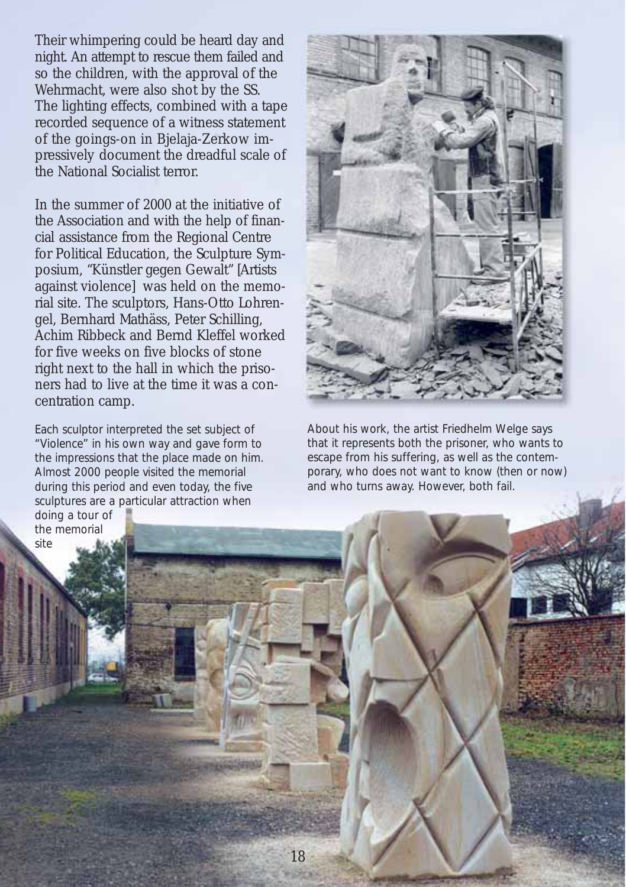Their whimpering could be heard day and night. An attempt to rescue them failed and so the children, with the approval of the Wehrmacht, were also shot by the SS. The lighting effects, combined with a tape recorded sequence of a witness statement of the goings-on in Bjelaja-Zerkow impressively document the dreadful scale of the National Socialist terror.

In the summer of 2000 at the initiative of the Association and with the help of financial assistance from the Regional Centre for Political Education, the Sculpture Symposium, "Künstler gegen Gewalt" [Artists against violence] was held on the memorial site. The sculptors, Hans-Otto Lohrengel, Bernhard Mathäss, Peter Schilling, Achim Ribbeck and Bernd Kleffel worked for five weeks on five blocks of stone right next to the hall in which the prisoners had to live at the time it was a concentration camp.

*Each sculptor interpreted the set subject of "Violence" in his own way and gave form to the impressions that the place made on him. Almost 2000 people visited the memorial during this period and even today, the five sculptures are a particular attraction when doing a tour of the memorial* 

*site*



*About his work, the artist Friedhelm Welge says that it represents both the prisoner, who wants to escape from his suffering, as well as the contemporary, who does not want to know (then or now) and who turns away. However, both fail.* 

18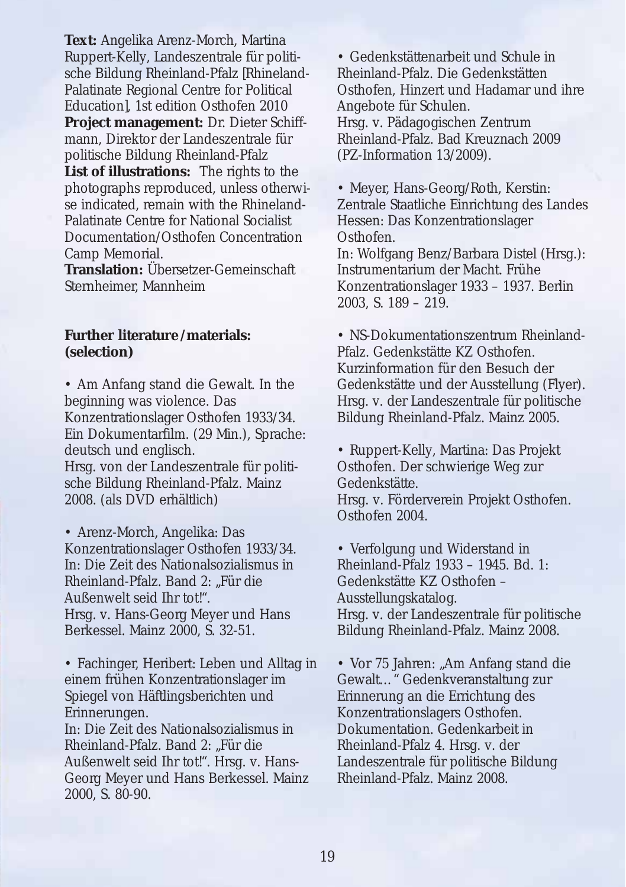**Text:** Angelika Arenz-Morch, Martina Ruppert-Kelly, Landeszentrale für politische Bildung Rheinland-Pfalz [Rhineland-Palatinate Regional Centre for Political Education], 1st edition Osthofen 2010

**Project management:** Dr. Dieter Schiffmann, Direktor der Landeszentrale für politische Bildung Rheinland-Pfalz

**List of illustrations:** The rights to the photographs reproduced, unless otherwise indicated, remain with the Rhineland-Palatinate Centre for National Socialist Documentation/Osthofen Concentration Camp Memorial.

**Translation:** Übersetzer-Gemeinschaft Sternheimer, Mannheim

#### **Further literature /materials: (selection)**

• Am Anfang stand die Gewalt. In the beginning was violence. Das Konzentrationslager Osthofen 1933/34. Ein Dokumentarfilm. (29 Min.), Sprache: deutsch und englisch. Hrsg. von der Landeszentrale für politische Bildung Rheinland-Pfalz. Mainz 2008. (als DVD erhältlich)

• Arenz-Morch, Angelika: Das Konzentrationslager Osthofen 1933/34. In: Die Zeit des Nationalsozialismus in Rheinland-Pfalz. Band 2: "Für die Außenwelt seid Ihr tot!". Hrsg. v. Hans-Georg Meyer und Hans Berkessel. Mainz 2000, S. 32-51.

• Fachinger, Heribert: Leben und Alltag in einem frühen Konzentrationslager im Spiegel von Häftlingsberichten und Erinnerungen. In: Die Zeit des Nationalsozialismus in Rheinland-Pfalz. Band 2: "Für die Außenwelt seid Ihr tot!". Hrsg. v. Hans-Georg Meyer und Hans Berkessel. Mainz 2000, S. 80-90.

• Gedenkstättenarbeit und Schule in Rheinland-Pfalz. Die Gedenkstätten Osthofen, Hinzert und Hadamar und ihre Angebote für Schulen. Hrsg. v. Pädagogischen Zentrum Rheinland-Pfalz. Bad Kreuznach 2009 (PZ-Information 13/2009).

• Meyer, Hans-Georg/Roth, Kerstin: Zentrale Staatliche Einrichtung des Landes Hessen: Das Konzentrationslager Osthofen.

In: Wolfgang Benz/Barbara Distel (Hrsg.): Instrumentarium der Macht. Frühe Konzentrationslager 1933 – 1937. Berlin 2003, S. 189 – 219.

• NS-Dokumentationszentrum Rheinland-Pfalz. Gedenkstätte KZ Osthofen. Kurzinformation für den Besuch der Gedenkstätte und der Ausstellung (Flyer). Hrsg. v. der Landeszentrale für politische Bildung Rheinland-Pfalz. Mainz 2005.

• Ruppert-Kelly, Martina: Das Projekt Osthofen. Der schwierige Weg zur Gedenkstätte.

Hrsg. v. Förderverein Projekt Osthofen. Osthofen 2004.

• Verfolgung und Widerstand in Rheinland-Pfalz 1933 – 1945. Bd. 1: Gedenkstätte KZ Osthofen – Ausstellungskatalog. Hrsg. v. der Landeszentrale für politische Bildung Rheinland-Pfalz. Mainz 2008.

• Vor 75 Jahren: "Am Anfang stand die Gewalt…" Gedenkveranstaltung zur Erinnerung an die Errichtung des Konzentrationslagers Osthofen. Dokumentation. Gedenkarbeit in Rheinland-Pfalz 4. Hrsg. v. der Landeszentrale für politische Bildung Rheinland-Pfalz. Mainz 2008.